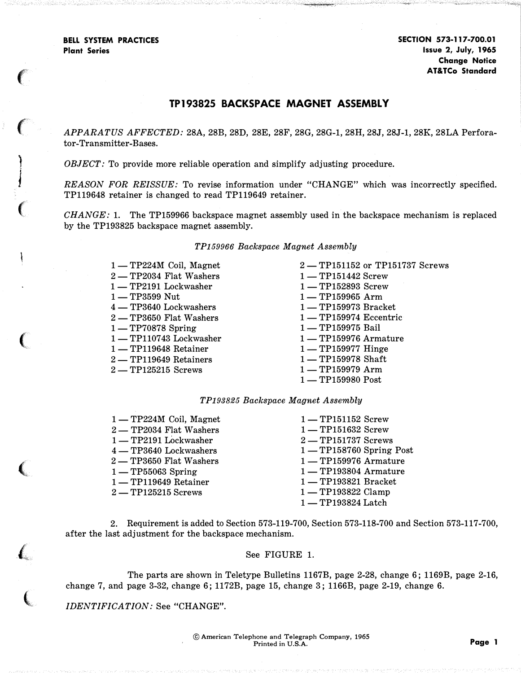$\epsilon$ 

 $\epsilon$ 

) J

 $\left($ 

 $\overline{C}$ 

 $\left($ 

 $\ell$ 

 $\left(\begin{array}{c} 1 \ 1 \end{array}\right)$ 

# TP193825 BACKSPACE MAGNET ASSEMBLY

 $\dot m$  is a  $\ddot m$  is  $\ddot m$  is  $\ddot m$  is  $\ddot m$  is  $\ddot m$  is  $\ddot m$  is  $\ddot m$  is  $\ddot m$  is  $\ddot m$  is  $\ddot m$  is  $\ddot m$  is  $\ddot m$  is  $\ddot m$  is a set of  $\ddot m$  is  $\ddot m$  is a set of  $\ddot m$  is a set of  $\ddot m$  is a set of  $\ddot$ 

APPARATUS AFFECTED: 28A, 28B, 28D, 28E, 28F, 28G, 28G-1, 28H, 28J, 28J-1, 28K, 28LA Perforator-Transmitter-Bases.

OBJECT: To provide more reliable operation and simplify adjusting procedure.

REASON FOR REISSUE: To revise information under "CHANGE" which was incorrectly specified. TP119648 retainer is changed to read TP119649 retainer.

 $CHANGE: 1.$  The TP159966 backspace magnet assembly used in the backspace mechanism is replaced by the TP193825 backspace magnet assembly.

#### TP159966 Backspace Magnet Assembly

 $1 - TP224M$  Coil, Magnet  $2 - TP2034$  Flat Washers 1- TP2191 Lockwasher  $1 - TP3599$  Nut 4 - TP3640 Lockwashers  $2 - TP3650$  Flat Washers  $1 - TP70878$  Spring 1-TP110743 Lockwasher  $1 - TP119648$  Retainer  $2 -$  TP119649 Retainers 2 – TP125215 Screws

- 2-TP151152 or TP151737 Screws 1 – TP151442 Screw  $1 - TP152893$  Screw  $1 - TP159965$  Arm 1 - TP159973 Bracket  $1 - TP159974$  Eccentric 1 - TP159975 Bail  $1 - TP159976$  Armature  $1 - TP159977$  Hinge  $1 -$  TP159978 Shaft  $1 - TP159979$  Arm
- $1 -$  TP159980 Post

### TP193825 Backspace Magnet Assembly

| 1 - TP224M Coil, Magnet | $1 - TP151152$ Screw       |
|-------------------------|----------------------------|
| 2-TP2034 Flat Washers   | 1-TP151632 Screw           |
| 1-TP2191 Lockwasher     | 2 - TP151737 Screws        |
| 4 - TP3640 Lockwashers  | $1 - TP158760$ Spring Post |
| 2 – TP3650 Flat Washers | $1 - TP159976$ Armature    |
| $1 - TP55063$ Spring    | $1 - TP193804$ Armature    |
| 1 - TP119649 Retainer   | $1 - TP193821$ Bracket     |
| $2$ — TP125215 Screws   | $1 - TP193822$ Clamp       |
|                         | 1 - TP193824 Latch         |

2. Requirement is added to Section 573-119-700, Section 573-118-700 and Section 573-117-700, after the last adjustment for the backspace mechanism.

### See FIGURE 1.

The parts are shown in Teletype Bulletins 1167B, page 2-28, change 6; 1169B, page 2-16, change 7, and page 3-32, change 6; 1172B, page 15, change 3; 1166B, page 2-19, change 6.

IDENTIFICATION: See "CHANGE".

©American Telephone and Telegraph Company, 1965 Printed in U.S.A. Page 1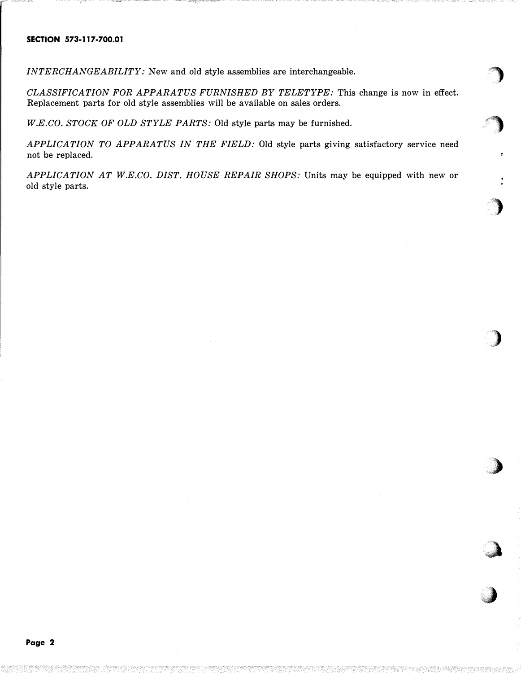### SECTION 573-117-700.01

INTERCHANGEABILITY: New and old style assemblies are interchangeable.

CLASSIFICATION FOR APPARATUS FURNISHED BY TELETYPE: This change is now in effect. Replacement parts for old style assemblies will be available on sales orders.

 $\sqrt{2}$  $\bm{J}$ 

> ..  $\blacktriangleright$

)

,,.)

 $\bigcup$ 

W.E.CO. STOCK OF OLD STYLE PARTS: Old style parts may be furnished.

APPLICATION TO APPARATUS IN THE FIELD: Old style parts giving satisfactory service need not be replaced.

APPLICATION AT W.E.CO. DIST. HOUSE REPAIR SHOPS: Units may be equipped with new or old style parts.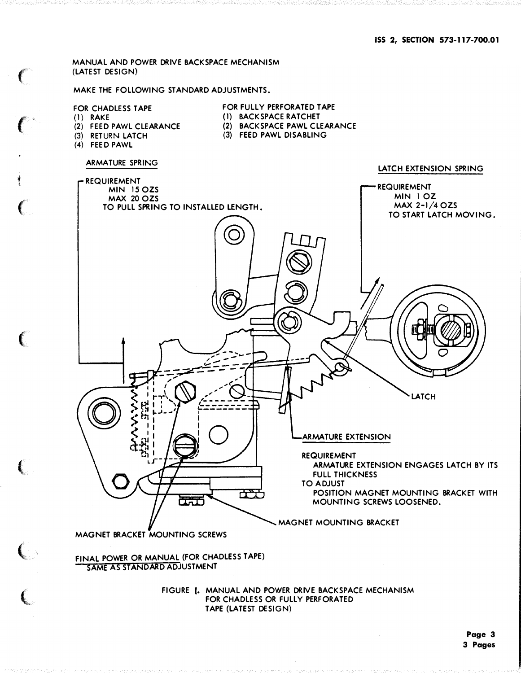MANUAL AND POWER DRIVE BACKSPACE MECHANISM (LATEST DESIGN)

MAKE THE FOLLOWING STANDARD ADJUSTMENTS.

### FOR CHADLESS TAPE

(1) RAKE

 $\epsilon$ 

 $\left($ 

f ٤,

 $\epsilon$ 

 $\left($ 

 $\left(\begin{smallmatrix} \cdot & \cdot & \cdot \end{smallmatrix}\right)$ 

 $\left($ 

 $\big($ 

- (2) FEED PAWL CLEARANCE
- (3) RETURN LATCH
- (4) FEED PAWL
- FOR FULLY PERFORATED TAPE (1) BACKSPACE RATCHET
- (2) BACKSPACE PAWL CLEARANCE
- 
- 
- 
- 

(3) FEED PAWL DISABLING



SAME AS STANDARD ADJUSTMENT

FIGURE f. MANUAL AND POWER DRIVE BACKSPACE MECHANISM FOR CHADLESS OR FULLY PERFORATED TAPE (LATEST DESIGN)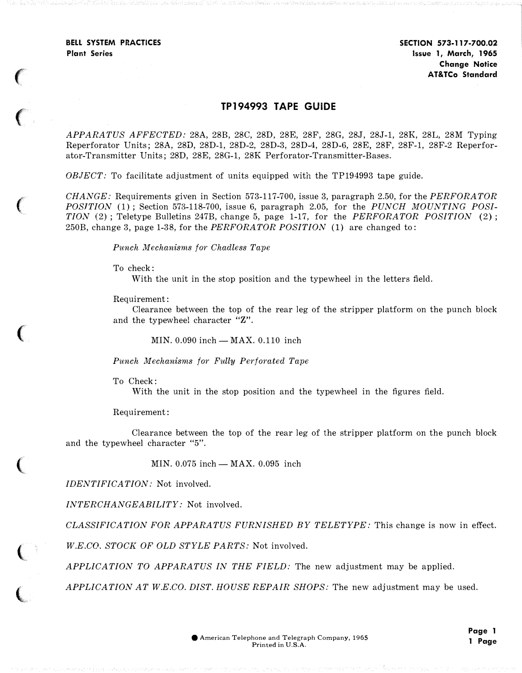$\epsilon$ 

 $\left($ 

 $\big($ 

 $\big($ 

 $\big($ 

(

 $\overline{\mathbb{C}}$ 

### TP194993 TAPE GUIDE

APPARATUS AFFECTED: 28A, 28B, 28C, 28D, 28E, 28F, 28G, 28J, 28J-1, 28K, 28L, 28M Typing Reperforator Units; 28A, 28D, 28D-1, 28D-2, 28D-3, 28D-4, 28D-6, 28E, 28F, 28F-1, 28F-2 Reperforator-Transmitter Units; 28D, 28E, 28G-1, 28K Perforator-Transmitter-Bases.

OBJECT: To facilitate adjustment of units equipped with the TP194993 tape guide.

 $CHANGE:$  Requirements given in Section 573-117-700, issue 3, paragraph 2.50, for the  $PERFORMOR$ POSITION (1); Section 573-118-700, issue 6, paragraph 2.05, for the PUNCH MOUNTING POSI-TION (2); Teletype Bulletins 247B, change 5, page 1-17, for the *PERFORATOR POSITION* (2); 250B, change 3, page 1-38, for the *PERFORATOR POSITION* (1) are changed to:

Punch Mechanisms for Chadless Tape

To check:

With the unit in the stop position and the typewheel in the letters field.

Requirement:

Clearance between the top of the rear leg of the stripper platform on the punch block and the typewheel character "Z".

MIN.  $0.090$  inch  $-MAX$ .  $0.110$  inch

Punch Mechanisms for Fully Perforated Tape

To Check:

With the unit in the stop position and the typewheel in the figures field.

Requirement:

Clearance between the top of the rear leg of the stripper platform on the punch block and the typewheel character "5".

MIN.  $0.075$  inch  $-MAX$ .  $0.095$  inch

IDENTIFICATION: Not involved.

INTERCHANGEABILITY: Not involved.

CLASSIFICATION FOR APPARATUS FURNISHED BY TELETYPE: This change is now in effect.

W.E.CO. STOCK OF OLD STYLE PARTS: Not involved.

APPLICATION TO APPARATUS IN THE FIELD: The new adjustment may be applied.

APPLICATION AT W.E.CO. DIST. HOUSE REPAIR SHOPS: The new adjustment may be used.

Page 1 1 Page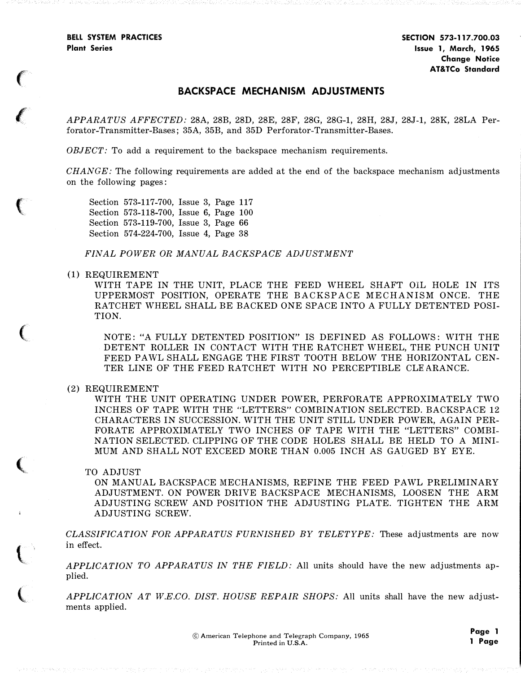$\epsilon$ 

 $\ell$ 

 $\big($ 

 $\big($ 

 $\big($ 

 $\big($ 

 $\big($ 

## BACKSPACE MECHANISM ADJUSTMENTS

APPARATUS AFFECTED: 28A, 28B, 28D, 28E, 28F, 28G, 28G-1, 28H, 28J, 28J-1, 28K, 28LA Perforator-Transmitter-Bases; 35A, 35B, and 35D Perforator-Transmitter-Bases.

OBJECT: To add a requirement to the backspace mechanism requirements.

 $CHANGE$ : The following requirements are added at the end of the backspace mechanism adjustments on the following pages:

Section 573-117-700, Issue 3, Page 117 Section 573-118-700, Issue 6, Page 100 Section 573-119-700, Issue 3, Page 66 Section 574-224-700, Issue 4, Page 38

FINAL POWER OR MANUAL BACKSPACE ADJUSTMENT

### (1) REQUIREMENT

WITH TAPE IN THE UNIT, PLACE THE FEED WHEEL SHAFT OIL HOLE IN ITS UPPERMOST POSITION, OPERATE THE BACKSPACE MECHANISM ONCE. THE RATCHET WHEEL SHALL BE BACKED ONE SPACE INTO A FULLY DETENTED POSI-TION.

NOTE: "A FULLY DETENTED POSITION" IS DEFINED AS FOLLOWS: WITH THE DETENT ROLLER IN CONTACT WITH THE RATCHET WHEEL, THE PUNCH UNIT FEED PAWL SHALL ENGAGE THE FIRST TOOTH BELOW THE HORIZONTAL CEN-TER LINE OF THE FEED RATCHET WITH NO PERCEPTIBLE CLEARANCE.

(2) REQUIREMENT

WITH THE UNIT OPERATING UNDER POWER, PERFORATE APPROXIMATELY TWO INCHES OF TAPE WITH THE "LETTERS" COMBINATION SELECTED. BACKSPACE 12 CHARACTERS IN SUCCESSION. WITH THE UNIT STILL UNDER POWER, AGAIN PER-FORATE APPROXIMATELY TWO INCHES OF TAPE WITH THE "LETTERS" COMBI-NATION SELECTED. CLIPPING OF THE CODE HOLES SHALL BE HELD TO A MINI-MUM AND SHALL NOT EXCEED MORE THAN 0.005 INCH AS GAUGED BY EYE.

#### "fO ADJUST

ON MANUAL BACKSPACE MECHANISMS, REFINE THE FEED PAWL PRELIMINARY ADJUSTMENT. ON POWER DRIVE BACKSPACE MECHANISMS, LOOSEN THE ARM ADJUSTING SCREW AND POSITION THE ADJUSTING PLATE. TIGHTEN THE ARM ADJUSTING SCREW.

CLASSIFICATION FOR APPARATUS FURNISHED BY TELETYPE: These adjustments are now in effect.

APPLICATION TO APPARATUS IN THE FIELD: All units should have the new adjustments applied.

APPLICATION AT W.E.CO. DIST. HOUSE REPAIR SHOPS: All units shall have the new adjustments applied.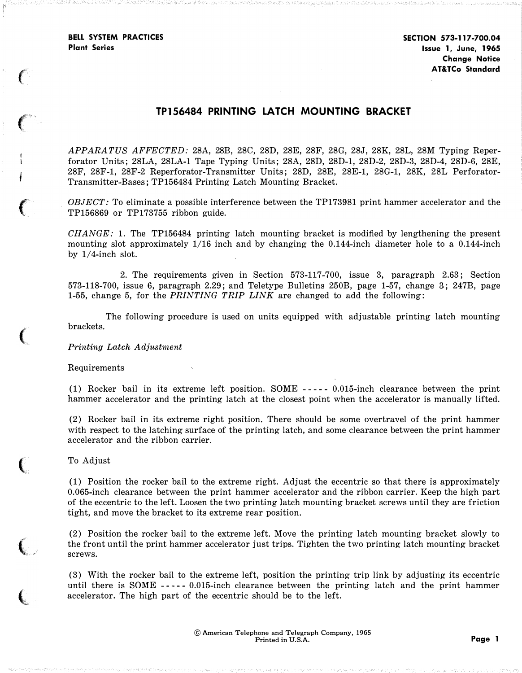$\epsilon$ 

 $\bigl(\begin{array}{c} \hline \ \hline \ \hline \ \hline \ \hline \end{array} \bigr)$ 

 $\big($ 

 $\big($ 

 $\big($ 

 $\bigcup$ 

 $\overline{\mathbb{C}}$ 

# TP156484 PRINTING LATCH MOUNTING BRACKET

APPARATUS AFFECTED: 28A, 28B, 28C, 28D, 28E, 28F, 28G , 28J, 28K, 28L, 28M Typing Reperforator Units; 28LA, 28LA-1 Tape Typing Units; 28A, 28D, 28D-1, 28D-2, 28D-3, 28D-4, 28D-6, 28E, 28F, 28F-1, 28F-2 Reperforator-Transmitter Units; 28D, 28E, 28E-1, 28G-1, 28K, 28L Perforator-Transmitter-Bases; TP156484 Printing Latch Mounting Bracket.

OBJECT: To eliminate a possible interference between the TP173981 print hammer accelerator and the TP156869 or TP173755 ribbon guide.

 $CHANGE: 1.$  The TP156484 printing latch mounting bracket is modified by lengthening the present mounting slot approximately 1/16 inch and by changing the 0.144-inch diameter hole to a 0.144-inch by  $1/4$ -inch slot.

2. The requirements given in Section 573-117-700, issue 3, paragraph 2.63; Section 573-118-700, issue 6, paragraph 2.29; and Teletype Bulletins 250B, page 1-57, change 3; 247B, page 1-55, change 5, for the PRINTING TRIP LINK are changed to add the following:

The following procedure is used on units equipped with adjustable printing latch mounting brackets.

Printing Latch Adjustment

Requirements

(1) Rocker bail in its extreme left position. SOME ----- 0.015-inch clearance between the print hammer accelerator and the printing latch at the closest point when the accelerator is manually lifted.

(2) Rocker bail in its extreme right position. There should be some overtravel of the print hammer with respect to the latching surface of the printing latch, and some clearance between the print hammer accelerator and the ribbon carrier.

To Adjust

(1) Position the rocker bail to the extreme right. Adjust the eccentric so that there is approximately 0.065-inch clearance between the print hammer accelerator and the ribbon carrier. Keep the high part of the eccentric to the left. Loosen the two printing latch mounting bracket screws until they are friction tight, and move the bracket to its extreme rear position.

(2) Position the rocker bail to the extreme left. Move the printing latch mounting bracket slowly to the front until the print hammer accelerator just trips. Tighten the two printing latch mounting bracket screws.

(3) With the rocker bail to the extreme left, position the printing trip link by adjusting its eccentric until there is SOME ----- 0.015-inch clearance between the printing latch and the print hammer accelerator. The high part of the eccentric should be to the left.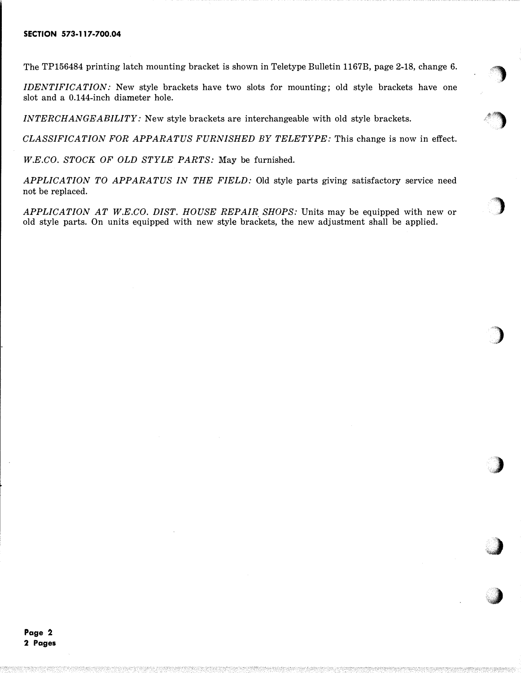### SECTION 573-117-700.04

The TP156484 printing latch mounting bracket is shown in Teletype Bulletin 1167B, page 2-18, change 6.

 $\big)$ 

 $\bullet$ 

)

)

 $\blacktriangleright$ .

)<br>)<br>)

IDENTIFICATION: New style brackets have two slots for mounting; old style brackets have one slot and a 0.144-inch diameter hole.

INTERCHANGEABILITY: New style brackets are interchangeable with old style brackets.

CLASSIFICATION FOR APPARATUS FURNISHED BY TELETYPE: This change is now in effect.

W.E.CO. STOCK OF OLD STYLE PARTS: May be furnished.

APPLICATION TO APPARATUS IN THE FIELD: Old style parts giving satisfactory service need not be replaced.

APPLICATION AT W.E.CO. DIST. HOUSE REPAIR SHOPS: Units may be equipped with new or old style parts. On units equipped with new style brackets, the new adjustment shall be applied.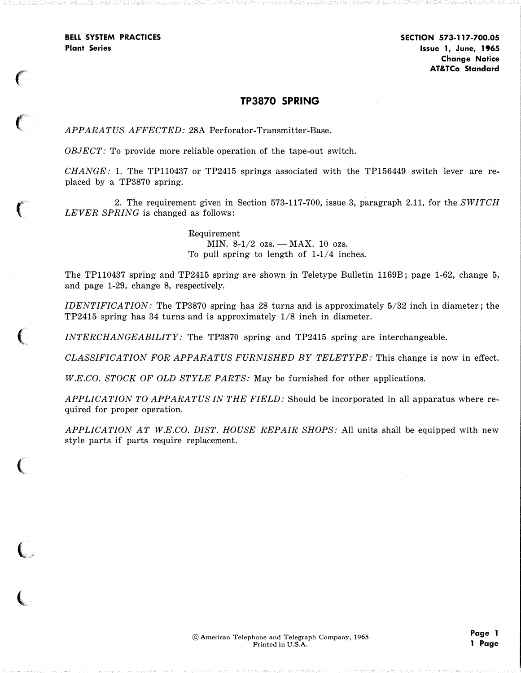$\epsilon$ 

 $\big($ 

 $\mathcal{C}$ 

 $\big($ 

 $\big($ 

 $\overline{\mathcal{C}}$ 

l

## TP3870 SPRING

APPARATUS AFFECTED: 28A Perforator-Transmitter-Base.

OBJECT: To provide more reliable operation of the tape-out switch.

 $CHANGE:$  1. The TP110437 or TP2415 springs associated with the TP156449 switch lever are replaced by a TP3870 spring.

2. The requirement given in Section 573-117-700, issue 3, paragraph 2.11, for the SWITCH LEVER SPRING is changed as follows:

> Requirement MIN. 8-1/2 ozs.  $-MAX.$  10 ozs. To pull spring to length of 1-1/4 inches.

The TP110437 spring and TP2415 spring are shown in Teletype Bulletin 1169B; page 1-62, change 5, and page 1-29, change 8, respectively.

IDENTIFICATION: The TP3870 spring has 28 turns and is approximately 5/32 inch in diameter; the TP2415 spring has 34 turns and is approximately 1/8 inch in diameter.

INTERCHANGEABILITY: The TP3870 spring and TP2415 spring are interchangeable.

CLASSIFICATION FOR APPARATUS FURNISHED BY TELETYPE: This change is now in effect.

W.E.CO. STOCK OF OLD STYLE PARTS: May be furnished for other applications.

APPLICATION TO APPARATUS IN THE FIELD: Should be incorporated in all apparatus where required for proper operation.

APPLICATION AT W.E.CO. DIST. HOUSE REPAIR SHOPS: All units shall be equipped with new style parts if parts require replacement.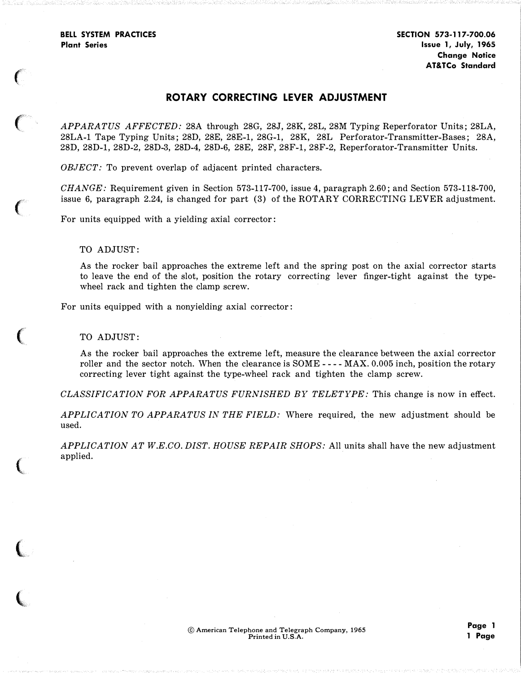$\big($ 

 $\epsilon$ 

 $\big($ 

' '

(

 $\overline{\mathbb{C}}$ 

# ROTARY CORRECTING LEVER ADJUSTMENT

( APPARATUS AFFECTED: 28A through 28G, 28J, 28K, 28L, 28M Typing Reperforator Units; 28LA, 28LA-1 Tape Typing Units; 28D, 28E, 28E-l, 28G-l, 28K, 28L Perforator-Transmitter-Bases; 28A, 28D, 28D-1, 28D-2, 28D-3, 28D-4, 28D-6, 28E, 28F, 28F-1, 28F-2, Reperforator-Transmitter Units.

OBJECT: To prevent overlap of adjacent printed characters.

 $CHANGE:$  Requirement given in Section 573-117-700, issue 4, paragraph 2.60; and Section 573-118-700, issue 6, paragraph 2.24, is changed for part  $(3)$  of the ROTARY CORRECTING LEVER adjustment.

For units equipped with a yielding axial corrector:

### TO ADJUST:

As the rocker bail approaches the extreme left and the spring post on the axial corrector starts to leave the end of the slot, position the rotary correcting lever finger-tight against the typewheel rack and tighten the clamp screw.

For units equipped with a nonyielding axial corrector:

#### TO ADJUST:

As the rocker bail approaches the extreme left, measure the clearance between the axial corrector roller and the sector notch. When the clearance is  $SOME - - - MAX. 0.005$  inch, position the rotary correcting lever tight against the type-wheel rack and tighten the clamp screw.

CLASSIFICATION FOR APPARATUS FURNISHED BY TELETYPE: This change is now in effect.

APPLICATION TO APPARATUS IN THE FIELD: Where required, the new adjustment should be used.

APPLICATION AT W.E.CO. DIST. HOUSE REPAIR SHOPS: All units shall have the new adjustment applied.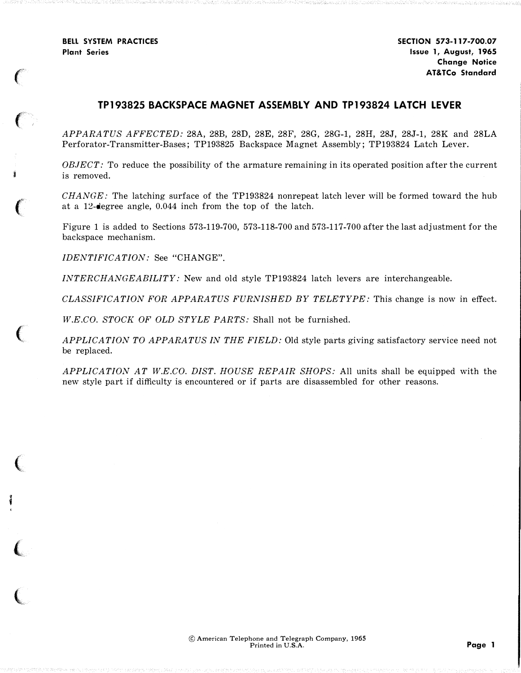j

i

the state of the state of the state of

SECTION 573-117-700.07 Issue 1, August, 1965 Change Notice AT&TCo Standard

## TP193825 BACKSPACE MAGNET ASSEMBLY AND TP193824 LATCH LEVER

APPARATUS AFFECTED: 28A, 28B, 28D, 28E, 28F, 28G, 28G-l, 28H, 28J, 28J-1, 28K and 28LA Perforator-Transmitter-Bases; TP193825 Backspace Magnet Assembly; TP193824 Latch Lever.

OBJECT: To reduce the possibility of the armature remaining in its operated position after the current is removed.

 $CHANGE$ : The latching surface of the TP193824 nonrepeat latch lever will be formed toward the hub at a 12-degree angle, 0.044 inch from the top of the latch.

Figure 1 is added to Sections 573-119-700, 573-118-700 and 573-117-700 after the last adjustment for the backspace mechanism.

IDENTIFICATION: See "CHANGE".

INTERCHANGEABILITY: New and old style TP193824 latch levers are interchangeable.

CLASSIFICATION FOR APPARATUS FURNISHED BY TELETYPE: This change is now in effect.

W.E.CO. STOCK OF OLD STYLE PARTS: Shall not be furnished.

APPLICATION TO APPARATUS IN THE FIELD: Old style parts giving satisfactory service need not be replaced.

APPLICATION AT W.E.CO. DIST. HOUSE REPAIR SHOPS: All units shall be equipped with the new style part if difficulty is encountered or if parts are disassembled for other reasons.